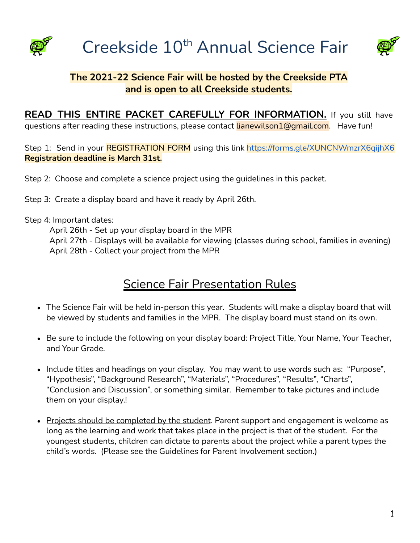



### **The 2021-22 Science Fair will be hosted by the Creekside PTA and is open to all Creekside students.**

**READ THIS ENTIRE PACKET CAREFULLY FOR INFORMATION.** If you still have guestions after reading these instructions, please contact lianewilson1@gmail.com. Have fun!

Step 1: Send in your REGISTRATION FORM using this link <https://forms.gle/XUNCNWmzrX6qijhX6> **Registration deadline is March 31st.**

Step 2: Choose and complete a science project using the guidelines in this packet.

Step 3: Create a display board and have it ready by April 26th.

Step 4: Important dates:

April 26th - Set up your display board in the MPR April 27th - Displays will be available for viewing (classes during school, families in evening) April 28th - Collect your project from the MPR

## **Science Fair Presentation Rules**

- The Science Fair will be held in-person this year. Students will make a display board that will be viewed by students and families in the MPR. The display board must stand on its own.
- Be sure to include the following on your display board: Project Title, Your Name, Your Teacher, and Your Grade.
- Include titles and headings on your display. You may want to use words such as: "Purpose", "Hypothesis", "Background Research", "Materials", "Procedures", "Results", "Charts", "Conclusion and Discussion", or something similar. Remember to take pictures and include them on your display.!
- Projects should be completed by the student. Parent support and engagement is welcome as long as the learning and work that takes place in the project is that of the student. For the youngest students, children can dictate to parents about the project while a parent types the child's words. (Please see the Guidelines for Parent Involvement section.)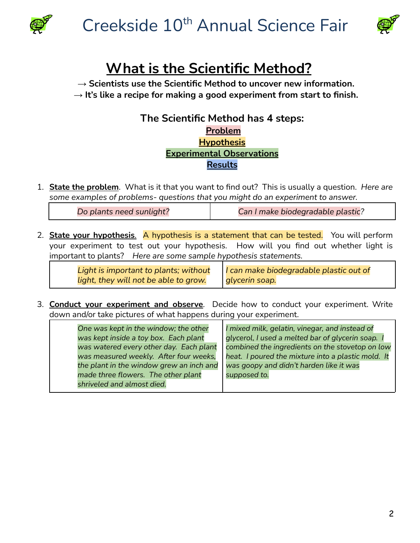



# **What is the Scientific Method?**

**→ Scientists use the Scientific Method to uncover new information.**

**→ It's like a recipe for making a good experiment from start to finish.**

### **The Scientific Method has 4 steps: Problem Hypothesis Experimental Observations Results**

1. **State the problem**. What is it that you want to find out? This is usually a question. *Here are some examples of problems- questions that you might do an experiment to answer.*

*Do plants need sunlight? Can I make biodegradable plastic?*

2. **State your hypothesis**. A hypothesis is a statement that can be tested. You will perform your experiment to test out your hypothesis. How will you find out whether light is important to plants? *Here are some sample hypothesis statements.*

| Light is important to plants; without | I can make biodegradable plastic out of |
|---------------------------------------|-----------------------------------------|
| light, they will not be able to grow. | glycerin soap.                          |

3. **Conduct your experiment and observe**. Decide how to conduct your experiment. Write down and/or take pictures of what happens during your experiment.

| One was kept in the window; the other    | I mixed milk, gelatin, vinegar, and instead of     |
|------------------------------------------|----------------------------------------------------|
| was kept inside a toy box. Each plant    | glycerol, I used a melted bar of glycerin soap. I  |
| was watered every other day. Each plant  | combined the ingredients on the stovetop on low    |
| was measured weekly. After four weeks,   | heat. I poured the mixture into a plastic mold. It |
| the plant in the window grew an inch and | was goopy and didn't harden like it was            |
| made three flowers. The other plant      | supposed to.                                       |
| shriveled and almost died.               |                                                    |
|                                          |                                                    |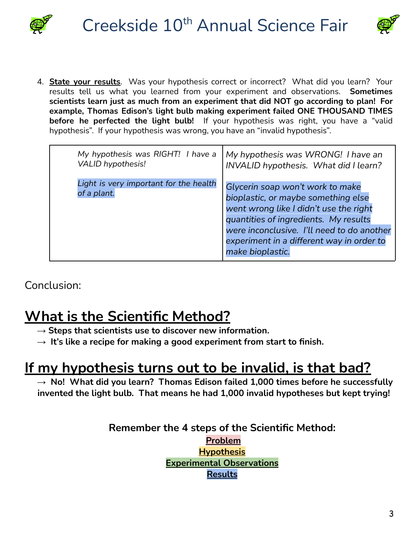



4. **State your results**. Was your hypothesis correct or incorrect? What did you learn? Your results tell us what you learned from your experiment and observations. **Sometimes scientists learn just as much from an experiment that did NOT go according to plan! For example, Thomas Edison's light bulb making experiment failed ONE THOUSAND TIMES before he perfected the light bulb!** If your hypothesis was right, you have a "valid hypothesis". If your hypothesis was wrong, you have an "invalid hypothesis".

| My hypothesis was RIGHT! I have a                     | My hypothesis was WRONG! I have an                                                                                                                                                                                                                                        |
|-------------------------------------------------------|---------------------------------------------------------------------------------------------------------------------------------------------------------------------------------------------------------------------------------------------------------------------------|
| <b>VALID hypothesis!</b>                              | INVALID hypothesis. What did I learn?                                                                                                                                                                                                                                     |
| Light is very important for the health<br>of a plant. | Glycerin soap won't work to make<br>bioplastic, or maybe something else<br>went wrong like I didn't use the right<br>quantities of ingredients. My results<br>were inconclusive. I'll need to do another<br>experiment in a different way in order to<br>make bioplastic. |

Conclusion:

## **What is the Scientific Method?**

- **→ Steps that scientists use to discover new information.**
- **→ It's like a recipe for making a good experiment from start to finish.**

## **If my hypothesis turns out to be invalid, is that bad?**

**→ No! What did you learn? Thomas Edison failed 1,000 times before he successfully invented the light bulb. That means he had 1,000 invalid hypotheses but kept trying!**

> **Remember the 4 steps of the Scientific Method: Problem Hypothesis Experimental Observations Results**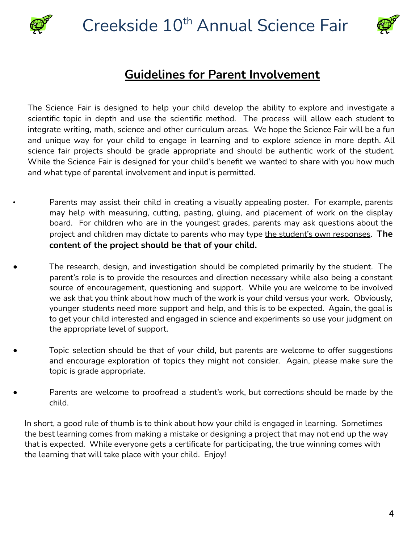

# Creekside 10<sup>th</sup> Annual Science Fair



### **Guidelines for Parent Involvement**

The Science Fair is designed to help your child develop the ability to explore and investigate a scientific topic in depth and use the scientific method. The process will allow each student to integrate writing, math, science and other curriculum areas. We hope the Science Fair will be a fun and unique way for your child to engage in learning and to explore science in more depth. All science fair projects should be grade appropriate and should be authentic work of the student. While the Science Fair is designed for your child's benefit we wanted to share with you how much and what type of parental involvement and input is permitted.

- Parents may assist their child in creating a visually appealing poster. For example, parents may help with measuring, cutting, pasting, gluing, and placement of work on the display board. For children who are in the youngest grades, parents may ask questions about the project and children may dictate to parents who may type the student's own responses. **The content of the project should be that of your child.**
- The research, design, and investigation should be completed primarily by the student. The parent's role is to provide the resources and direction necessary while also being a constant source of encouragement, questioning and support. While you are welcome to be involved we ask that you think about how much of the work is your child versus your work. Obviously, younger students need more support and help, and this is to be expected. Again, the goal is to get your child interested and engaged in science and experiments so use your judgment on the appropriate level of support.
- Topic selection should be that of your child, but parents are welcome to offer suggestions and encourage exploration of topics they might not consider. Again, please make sure the topic is grade appropriate.
- Parents are welcome to proofread a student's work, but corrections should be made by the child.

In short, a good rule of thumb is to think about how your child is engaged in learning. Sometimes the best learning comes from making a mistake or designing a project that may not end up the way that is expected. While everyone gets a certificate for participating, the true winning comes with the learning that will take place with your child. Enjoy!